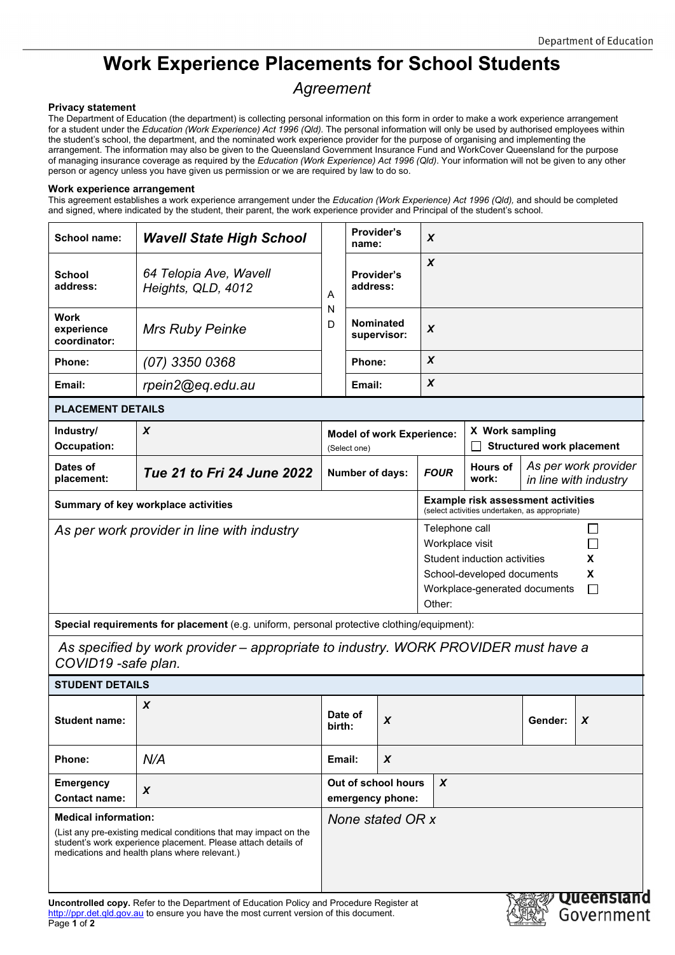## **Work Experience Placements for School Students**

## *Agreement*

## **Privacy statement**

The Department of Education (the department) is collecting personal information on this form in order to make a work experience arrangement for a student under the *Education (Work Experience) Act 1996 (Qld).* The personal information will only be used by authorised employees within the student's school, the department, and the nominated work experience provider for the purpose of organising and implementing the arrangement. The information may also be given to the Queensland Government Insurance Fund and WorkCover Queensland for the purpose of managing insurance coverage as required by the *Education (Work Experience) Act 1996 (Qld)*. Your information will not be given to any other person or agency unless you have given us permission or we are required by law to do so.

## **Work experience arrangement**

This agreement establishes a work experience arrangement under the *Education (Work Experience) Act 1996 (Qld),* and should be completed and signed, where indicated by the student, their parent, the work experience provider and Principal of the student's school.

| <b>School name:</b>                                                                                                                                                                                                                                                                                                                                    | <b>Wavell State High School</b>              |                                                  | Provider's<br>name:                     |                                 | X                                                                                                                                                                    |                                                     |         |                                               |  |
|--------------------------------------------------------------------------------------------------------------------------------------------------------------------------------------------------------------------------------------------------------------------------------------------------------------------------------------------------------|----------------------------------------------|--------------------------------------------------|-----------------------------------------|---------------------------------|----------------------------------------------------------------------------------------------------------------------------------------------------------------------|-----------------------------------------------------|---------|-----------------------------------------------|--|
| <b>School</b><br>address:                                                                                                                                                                                                                                                                                                                              | 64 Telopia Ave, Wavell<br>Heights, QLD, 4012 | Α                                                | <b>Provider's</b><br>address:           |                                 | X                                                                                                                                                                    |                                                     |         |                                               |  |
| Work<br>experience<br>coordinator:                                                                                                                                                                                                                                                                                                                     | <b>Mrs Ruby Peinke</b>                       | N<br>D                                           |                                         | <b>Nominated</b><br>supervisor: | X                                                                                                                                                                    |                                                     |         |                                               |  |
| Phone:                                                                                                                                                                                                                                                                                                                                                 | (07) 3350 0368                               |                                                  | Phone:                                  |                                 | X                                                                                                                                                                    |                                                     |         |                                               |  |
| Email:                                                                                                                                                                                                                                                                                                                                                 | rpein2@eq.edu.au                             |                                                  | Email:                                  |                                 | X                                                                                                                                                                    |                                                     |         |                                               |  |
| <b>PLACEMENT DETAILS</b>                                                                                                                                                                                                                                                                                                                               |                                              |                                                  |                                         |                                 |                                                                                                                                                                      |                                                     |         |                                               |  |
| Industry/<br><b>Occupation:</b>                                                                                                                                                                                                                                                                                                                        | X                                            | <b>Model of work Experience:</b><br>(Select one) |                                         |                                 |                                                                                                                                                                      | X Work sampling<br><b>Structured work placement</b> |         |                                               |  |
| Dates of<br>placement:                                                                                                                                                                                                                                                                                                                                 | Tue 21 to Fri 24 June 2022                   | Number of days:                                  |                                         |                                 | <b>FOUR</b>                                                                                                                                                          | <b>Hours of</b><br>work:                            |         | As per work provider<br>in line with industry |  |
| Summary of key workplace activities                                                                                                                                                                                                                                                                                                                    |                                              |                                                  |                                         |                                 | <b>Example risk assessment activities</b><br>(select activities undertaken, as appropriate)                                                                          |                                                     |         |                                               |  |
| As per work provider in line with industry                                                                                                                                                                                                                                                                                                             |                                              |                                                  |                                         |                                 | Telephone call<br>LI<br>Workplace visit<br>Student induction activities<br>X<br>X<br>School-developed documents<br>$\Box$<br>Workplace-generated documents<br>Other: |                                                     |         |                                               |  |
| Special requirements for placement (e.g. uniform, personal protective clothing/equipment):                                                                                                                                                                                                                                                             |                                              |                                                  |                                         |                                 |                                                                                                                                                                      |                                                     |         |                                               |  |
| As specified by work provider – appropriate to industry. WORK PROVIDER must have a<br>COVID19 -safe plan.                                                                                                                                                                                                                                              |                                              |                                                  |                                         |                                 |                                                                                                                                                                      |                                                     |         |                                               |  |
| <b>STUDENT DETAILS</b>                                                                                                                                                                                                                                                                                                                                 |                                              |                                                  |                                         |                                 |                                                                                                                                                                      |                                                     |         |                                               |  |
| <b>Student name:</b>                                                                                                                                                                                                                                                                                                                                   | X                                            | birth:                                           | Date of                                 | X                               |                                                                                                                                                                      |                                                     | Gender: | X                                             |  |
| Phone:                                                                                                                                                                                                                                                                                                                                                 | N/A                                          | Email:                                           |                                         | X                               |                                                                                                                                                                      |                                                     |         |                                               |  |
| <b>Emergency</b><br><b>Contact name:</b>                                                                                                                                                                                                                                                                                                               | $\pmb{\chi}$                                 |                                                  | Out of school hours<br>emergency phone: |                                 | $\boldsymbol{x}$                                                                                                                                                     |                                                     |         |                                               |  |
| <b>Medical information:</b><br>None stated OR x<br>(List any pre-existing medical conditions that may impact on the<br>student's work experience placement. Please attach details of<br>medications and health plans where relevant.)<br>Queensland<br><b>Uncontrolled copy.</b> Refer to the Department of Education Policy and Procedure Register at |                                              |                                                  |                                         |                                 |                                                                                                                                                                      |                                                     |         |                                               |  |

[http://ppr.det.qld.gov.au](http://ppr.det.qld.gov.au/) to ensure you have the most current version of this document. Page **1** of **2**